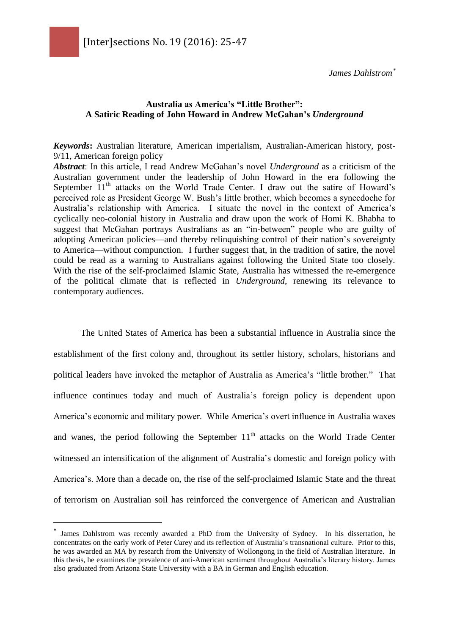*James Dahlstrom*

#### **Australia as America's "Little Brother": A Satiric Reading of John Howard in Andrew McGahan's** *Underground*

*Keywords***:** Australian literature, American imperialism, Australian-American history, post-9/11, American foreign policy

*Abstract*: In this article, I read Andrew McGahan's novel *Underground* as a criticism of the Australian government under the leadership of John Howard in the era following the September  $11<sup>th</sup>$  attacks on the World Trade Center. I draw out the satire of Howard's perceived role as President George W. Bush's little brother, which becomes a synecdoche for Australia's relationship with America. I situate the novel in the context of America's cyclically neo-colonial history in Australia and draw upon the work of Homi K. Bhabha to suggest that McGahan portrays Australians as an "in-between" people who are guilty of adopting American policies—and thereby relinquishing control of their nation's sovereignty to America—without compunction. I further suggest that, in the tradition of satire, the novel could be read as a warning to Australians against following the United State too closely. With the rise of the self-proclaimed Islamic State, Australia has witnessed the re-emergence of the political climate that is reflected in *Underground*, renewing its relevance to contemporary audiences.

The United States of America has been a substantial influence in Australia since the establishment of the first colony and, throughout its settler history, scholars, historians and political leaders have invoked the metaphor of Australia as America's "little brother." That influence continues today and much of Australia's foreign policy is dependent upon America's economic and military power. While America's overt influence in Australia waxes and wanes, the period following the September  $11<sup>th</sup>$  attacks on the World Trade Center witnessed an intensification of the alignment of Australia's domestic and foreign policy with America's. More than a decade on, the rise of the self-proclaimed Islamic State and the threat of terrorism on Australian soil has reinforced the convergence of American and Australian

 $\overline{a}$ 

James Dahlstrom was recently awarded a PhD from the University of Sydney. In his dissertation, he concentrates on the early work of Peter Carey and its reflection of Australia's transnational culture. Prior to this, he was awarded an MA by research from the University of Wollongong in the field of Australian literature. In this thesis, he examines the prevalence of anti-American sentiment throughout Australia's literary history. James also graduated from Arizona State University with a BA in German and English education.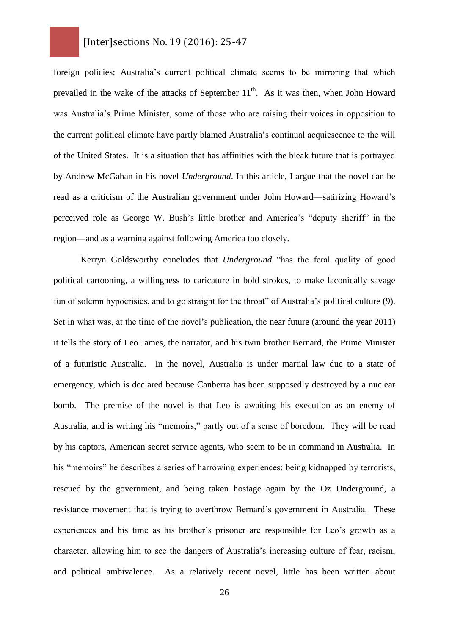foreign policies; Australia's current political climate seems to be mirroring that which prevailed in the wake of the attacks of September  $11<sup>th</sup>$ . As it was then, when John Howard was Australia's Prime Minister, some of those who are raising their voices in opposition to the current political climate have partly blamed Australia's continual acquiescence to the will of the United States. It is a situation that has affinities with the bleak future that is portrayed by Andrew McGahan in his novel *Underground*. In this article, I argue that the novel can be read as a criticism of the Australian government under John Howard—satirizing Howard's perceived role as George W. Bush's little brother and America's "deputy sheriff" in the region—and as a warning against following America too closely.

Kerryn Goldsworthy concludes that *Underground* "has the feral quality of good political cartooning, a willingness to caricature in bold strokes, to make laconically savage fun of solemn hypocrisies, and to go straight for the throat" of Australia's political culture (9). Set in what was, at the time of the novel's publication, the near future (around the year 2011) it tells the story of Leo James, the narrator, and his twin brother Bernard, the Prime Minister of a futuristic Australia. In the novel, Australia is under martial law due to a state of emergency, which is declared because Canberra has been supposedly destroyed by a nuclear bomb. The premise of the novel is that Leo is awaiting his execution as an enemy of Australia, and is writing his "memoirs," partly out of a sense of boredom. They will be read by his captors, American secret service agents, who seem to be in command in Australia. In his "memoirs" he describes a series of harrowing experiences: being kidnapped by terrorists, rescued by the government, and being taken hostage again by the Oz Underground, a resistance movement that is trying to overthrow Bernard's government in Australia. These experiences and his time as his brother's prisoner are responsible for Leo's growth as a character, allowing him to see the dangers of Australia's increasing culture of fear, racism, and political ambivalence. As a relatively recent novel, little has been written about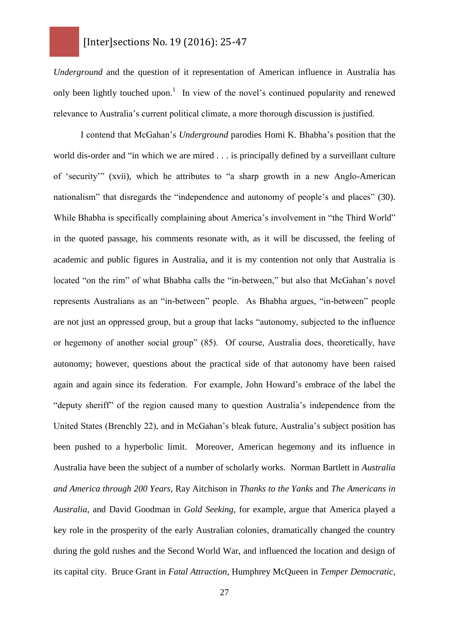*Underground* and the question of it representation of American influence in Australia has only been lightly touched upon.<sup>1</sup> In view of the novel's continued popularity and renewed relevance to Australia's current political climate, a more thorough discussion is justified.

I contend that McGahan's *Underground* parodies Homi K. Bhabha's position that the world dis-order and "in which we are mired . . . is principally defined by a surveillant culture of 'security'" (xvii), which he attributes to "a sharp growth in a new Anglo-American nationalism" that disregards the "independence and autonomy of people's and places" (30). While Bhabha is specifically complaining about America's involvement in "the Third World" in the quoted passage, his comments resonate with, as it will be discussed, the feeling of academic and public figures in Australia, and it is my contention not only that Australia is located "on the rim" of what Bhabha calls the "in-between," but also that McGahan's novel represents Australians as an "in-between" people. As Bhabha argues, "in-between" people are not just an oppressed group, but a group that lacks "autonomy, subjected to the influence or hegemony of another social group" (85). Of course, Australia does, theoretically, have autonomy; however, questions about the practical side of that autonomy have been raised again and again since its federation. For example, John Howard's embrace of the label the "deputy sheriff" of the region caused many to question Australia's independence from the United States (Brenchly 22), and in McGahan's bleak future, Australia's subject position has been pushed to a hyperbolic limit. Moreover, American hegemony and its influence in Australia have been the subject of a number of scholarly works. Norman Bartlett in *Australia and America through 200 Years*, Ray Aitchison in *Thanks to the Yanks* and *The Americans in Australia*, and David Goodman in *Gold Seeking*, for example, argue that America played a key role in the prosperity of the early Australian colonies, dramatically changed the country during the gold rushes and the Second World War, and influenced the location and design of its capital city. Bruce Grant in *Fatal Attraction*, Humphrey McQueen in *Temper Democratic*,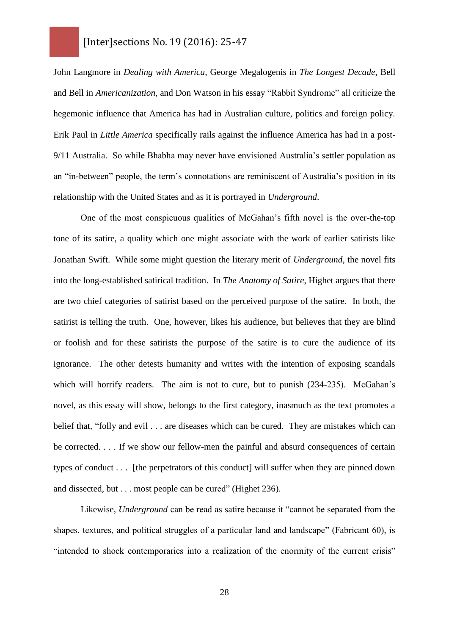John Langmore in *Dealing with America*, George Megalogenis in *The Longest Decade*, Bell and Bell in *Americanization*, and Don Watson in his essay "Rabbit Syndrome" all criticize the hegemonic influence that America has had in Australian culture, politics and foreign policy. Erik Paul in *Little America* specifically rails against the influence America has had in a post-9/11 Australia. So while Bhabha may never have envisioned Australia's settler population as an "in-between" people, the term's connotations are reminiscent of Australia's position in its relationship with the United States and as it is portrayed in *Underground*.

One of the most conspicuous qualities of McGahan's fifth novel is the over-the-top tone of its satire, a quality which one might associate with the work of earlier satirists like Jonathan Swift. While some might question the literary merit of *Underground*, the novel fits into the long-established satirical tradition. In *The Anatomy of Satire*, Highet argues that there are two chief categories of satirist based on the perceived purpose of the satire. In both, the satirist is telling the truth. One, however, likes his audience, but believes that they are blind or foolish and for these satirists the purpose of the satire is to cure the audience of its ignorance. The other detests humanity and writes with the intention of exposing scandals which will horrify readers. The aim is not to cure, but to punish (234-235). McGahan's novel, as this essay will show, belongs to the first category, inasmuch as the text promotes a belief that, "folly and evil . . . are diseases which can be cured. They are mistakes which can be corrected. . . . If we show our fellow-men the painful and absurd consequences of certain types of conduct . . . [the perpetrators of this conduct] will suffer when they are pinned down and dissected, but . . . most people can be cured" (Highet 236).

Likewise, *Underground* can be read as satire because it "cannot be separated from the shapes, textures, and political struggles of a particular land and landscape" (Fabricant 60), is "intended to shock contemporaries into a realization of the enormity of the current crisis"

28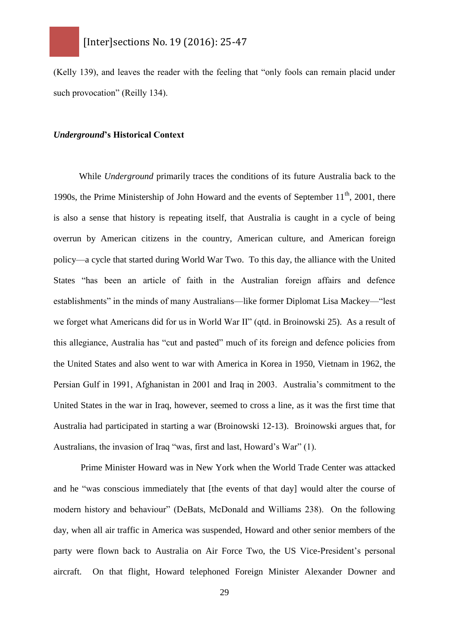(Kelly 139), and leaves the reader with the feeling that "only fools can remain placid under such provocation" (Reilly 134).

#### *Underground***'s Historical Context**

While *Underground* primarily traces the conditions of its future Australia back to the 1990s, the Prime Ministership of John Howard and the events of September  $11<sup>th</sup>$ , 2001, there is also a sense that history is repeating itself, that Australia is caught in a cycle of being overrun by American citizens in the country, American culture, and American foreign policy—a cycle that started during World War Two. To this day, the alliance with the United States "has been an article of faith in the Australian foreign affairs and defence establishments" in the minds of many Australians—like former Diplomat Lisa Mackey—"lest we forget what Americans did for us in World War II" (qtd. in Broinowski 25). As a result of this allegiance, Australia has "cut and pasted" much of its foreign and defence policies from the United States and also went to war with America in Korea in 1950, Vietnam in 1962, the Persian Gulf in 1991, Afghanistan in 2001 and Iraq in 2003. Australia's commitment to the United States in the war in Iraq, however, seemed to cross a line, as it was the first time that Australia had participated in starting a war (Broinowski 12-13). Broinowski argues that, for Australians, the invasion of Iraq "was, first and last, Howard's War" (1).

Prime Minister Howard was in New York when the World Trade Center was attacked and he "was conscious immediately that [the events of that day] would alter the course of modern history and behaviour" (DeBats, McDonald and Williams 238). On the following day, when all air traffic in America was suspended, Howard and other senior members of the party were flown back to Australia on Air Force Two, the US Vice-President's personal aircraft. On that flight, Howard telephoned Foreign Minister Alexander Downer and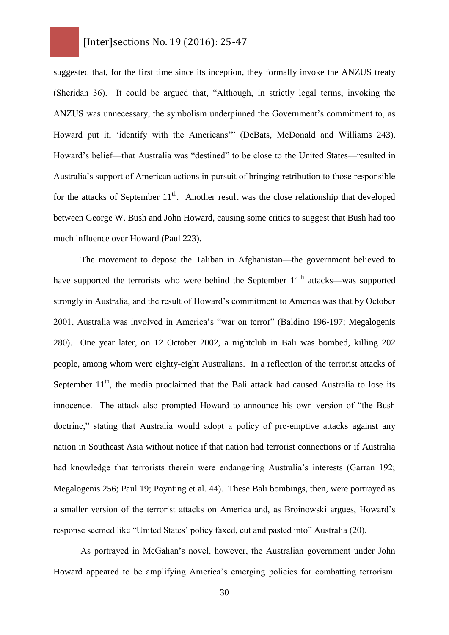suggested that, for the first time since its inception, they formally invoke the ANZUS treaty (Sheridan 36). It could be argued that, "Although, in strictly legal terms, invoking the ANZUS was unnecessary, the symbolism underpinned the Government's commitment to, as Howard put it, 'identify with the Americans'" (DeBats, McDonald and Williams 243). Howard's belief—that Australia was "destined" to be close to the United States—resulted in Australia's support of American actions in pursuit of bringing retribution to those responsible for the attacks of September  $11<sup>th</sup>$ . Another result was the close relationship that developed between George W. Bush and John Howard, causing some critics to suggest that Bush had too much influence over Howard (Paul 223).

The movement to depose the Taliban in Afghanistan—the government believed to have supported the terrorists who were behind the September  $11<sup>th</sup>$  attacks—was supported strongly in Australia, and the result of Howard's commitment to America was that by October 2001, Australia was involved in America's "war on terror" (Baldino 196-197; Megalogenis 280). One year later, on 12 October 2002, a nightclub in Bali was bombed, killing 202 people, among whom were eighty-eight Australians. In a reflection of the terrorist attacks of September  $11<sup>th</sup>$ , the media proclaimed that the Bali attack had caused Australia to lose its innocence. The attack also prompted Howard to announce his own version of "the Bush doctrine," stating that Australia would adopt a policy of pre-emptive attacks against any nation in Southeast Asia without notice if that nation had terrorist connections or if Australia had knowledge that terrorists therein were endangering Australia's interests (Garran 192; Megalogenis 256; Paul 19; Poynting et al. 44). These Bali bombings, then, were portrayed as a smaller version of the terrorist attacks on America and, as Broinowski argues, Howard's response seemed like "United States' policy faxed, cut and pasted into" Australia (20).

As portrayed in McGahan's novel, however, the Australian government under John Howard appeared to be amplifying America's emerging policies for combatting terrorism.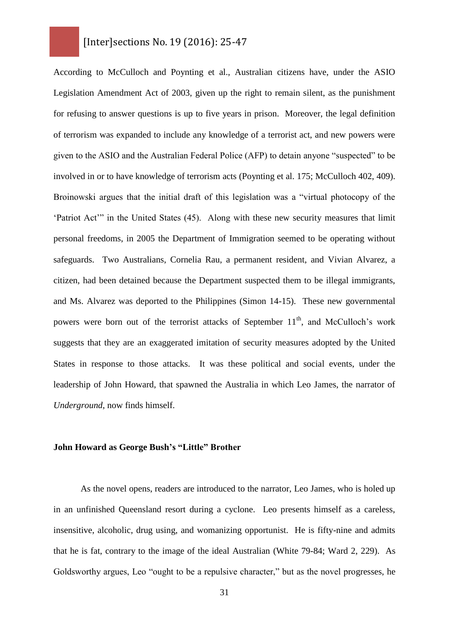According to McCulloch and Poynting et al., Australian citizens have, under the ASIO Legislation Amendment Act of 2003, given up the right to remain silent, as the punishment for refusing to answer questions is up to five years in prison. Moreover, the legal definition of terrorism was expanded to include any knowledge of a terrorist act, and new powers were given to the ASIO and the Australian Federal Police (AFP) to detain anyone "suspected" to be involved in or to have knowledge of terrorism acts (Poynting et al. 175; McCulloch 402, 409). Broinowski argues that the initial draft of this legislation was a "virtual photocopy of the 'Patriot Act'" in the United States (45). Along with these new security measures that limit personal freedoms, in 2005 the Department of Immigration seemed to be operating without safeguards. Two Australians, Cornelia Rau, a permanent resident, and Vivian Alvarez, a citizen, had been detained because the Department suspected them to be illegal immigrants, and Ms. Alvarez was deported to the Philippines (Simon 14-15). These new governmental powers were born out of the terrorist attacks of September 11<sup>th</sup>, and McCulloch's work suggests that they are an exaggerated imitation of security measures adopted by the United States in response to those attacks. It was these political and social events, under the leadership of John Howard, that spawned the Australia in which Leo James, the narrator of *Underground*, now finds himself.

#### **John Howard as George Bush's "Little" Brother**

As the novel opens, readers are introduced to the narrator, Leo James, who is holed up in an unfinished Queensland resort during a cyclone. Leo presents himself as a careless, insensitive, alcoholic, drug using, and womanizing opportunist. He is fifty-nine and admits that he is fat, contrary to the image of the ideal Australian (White 79-84; Ward 2, 229). As Goldsworthy argues, Leo "ought to be a repulsive character," but as the novel progresses, he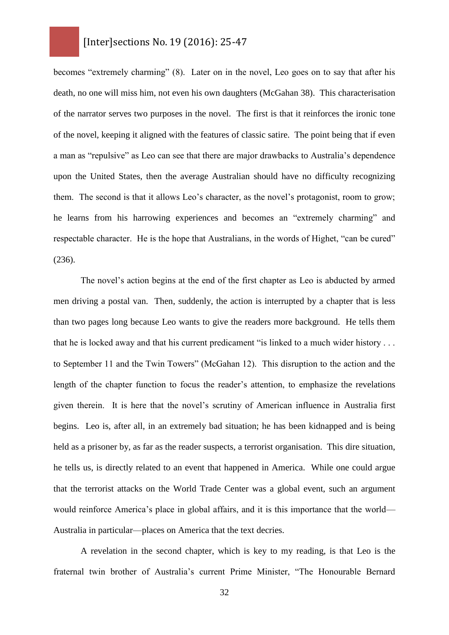becomes "extremely charming" (8). Later on in the novel, Leo goes on to say that after his death, no one will miss him, not even his own daughters (McGahan 38). This characterisation of the narrator serves two purposes in the novel. The first is that it reinforces the ironic tone of the novel, keeping it aligned with the features of classic satire. The point being that if even a man as "repulsive" as Leo can see that there are major drawbacks to Australia's dependence upon the United States, then the average Australian should have no difficulty recognizing them. The second is that it allows Leo's character, as the novel's protagonist, room to grow; he learns from his harrowing experiences and becomes an "extremely charming" and respectable character. He is the hope that Australians, in the words of Highet, "can be cured" (236).

The novel's action begins at the end of the first chapter as Leo is abducted by armed men driving a postal van. Then, suddenly, the action is interrupted by a chapter that is less than two pages long because Leo wants to give the readers more background. He tells them that he is locked away and that his current predicament "is linked to a much wider history . . . to September 11 and the Twin Towers" (McGahan 12). This disruption to the action and the length of the chapter function to focus the reader's attention, to emphasize the revelations given therein. It is here that the novel's scrutiny of American influence in Australia first begins. Leo is, after all, in an extremely bad situation; he has been kidnapped and is being held as a prisoner by, as far as the reader suspects, a terrorist organisation. This dire situation, he tells us, is directly related to an event that happened in America. While one could argue that the terrorist attacks on the World Trade Center was a global event, such an argument would reinforce America's place in global affairs, and it is this importance that the world— Australia in particular—places on America that the text decries.

A revelation in the second chapter, which is key to my reading, is that Leo is the fraternal twin brother of Australia's current Prime Minister, "The Honourable Bernard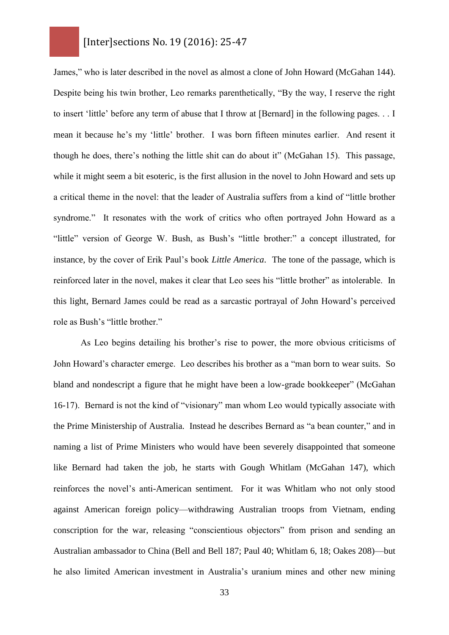James," who is later described in the novel as almost a clone of John Howard (McGahan 144). Despite being his twin brother, Leo remarks parenthetically, "By the way, I reserve the right to insert 'little' before any term of abuse that I throw at [Bernard] in the following pages. . . I mean it because he's my 'little' brother. I was born fifteen minutes earlier. And resent it though he does, there's nothing the little shit can do about it" (McGahan 15). This passage, while it might seem a bit esoteric, is the first allusion in the novel to John Howard and sets up a critical theme in the novel: that the leader of Australia suffers from a kind of "little brother syndrome." It resonates with the work of critics who often portrayed John Howard as a "little" version of George W. Bush, as Bush's "little brother:" a concept illustrated, for instance, by the cover of Erik Paul's book *Little America*. The tone of the passage, which is reinforced later in the novel, makes it clear that Leo sees his "little brother" as intolerable. In this light, Bernard James could be read as a sarcastic portrayal of John Howard's perceived role as Bush's "little brother."

As Leo begins detailing his brother's rise to power, the more obvious criticisms of John Howard's character emerge. Leo describes his brother as a "man born to wear suits. So bland and nondescript a figure that he might have been a low-grade bookkeeper" (McGahan 16-17). Bernard is not the kind of "visionary" man whom Leo would typically associate with the Prime Ministership of Australia. Instead he describes Bernard as "a bean counter," and in naming a list of Prime Ministers who would have been severely disappointed that someone like Bernard had taken the job, he starts with Gough Whitlam (McGahan 147), which reinforces the novel's anti-American sentiment. For it was Whitlam who not only stood against American foreign policy—withdrawing Australian troops from Vietnam, ending conscription for the war, releasing "conscientious objectors" from prison and sending an Australian ambassador to China (Bell and Bell 187; Paul 40; Whitlam 6, 18; Oakes 208)—but he also limited American investment in Australia's uranium mines and other new mining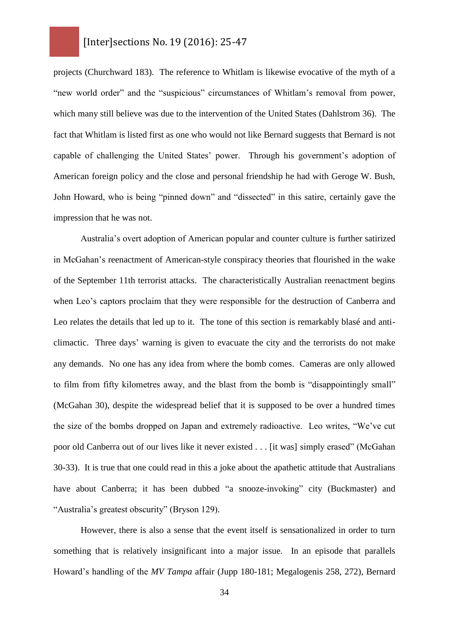projects (Churchward 183). The reference to Whitlam is likewise evocative of the myth of a "new world order" and the "suspicious" circumstances of Whitlam's removal from power, which many still believe was due to the intervention of the United States (Dahlstrom 36). The fact that Whitlam is listed first as one who would not like Bernard suggests that Bernard is not capable of challenging the United States' power. Through his government's adoption of American foreign policy and the close and personal friendship he had with Geroge W. Bush, John Howard, who is being "pinned down" and "dissected" in this satire, certainly gave the impression that he was not.

Australia's overt adoption of American popular and counter culture is further satirized in McGahan's reenactment of American-style conspiracy theories that flourished in the wake of the September 11th terrorist attacks. The characteristically Australian reenactment begins when Leo's captors proclaim that they were responsible for the destruction of Canberra and Leo relates the details that led up to it. The tone of this section is remarkably blasé and anticlimactic. Three days' warning is given to evacuate the city and the terrorists do not make any demands. No one has any idea from where the bomb comes. Cameras are only allowed to film from fifty kilometres away, and the blast from the bomb is "disappointingly small" (McGahan 30), despite the widespread belief that it is supposed to be over a hundred times the size of the bombs dropped on Japan and extremely radioactive. Leo writes, "We've cut poor old Canberra out of our lives like it never existed . . . [it was] simply erased" (McGahan 30-33). It is true that one could read in this a joke about the apathetic attitude that Australians have about Canberra; it has been dubbed "a snooze-invoking" city (Buckmaster) and "Australia's greatest obscurity" (Bryson 129).

However, there is also a sense that the event itself is sensationalized in order to turn something that is relatively insignificant into a major issue. In an episode that parallels Howard's handling of the *MV Tampa* affair (Jupp 180-181; Megalogenis 258, 272), Bernard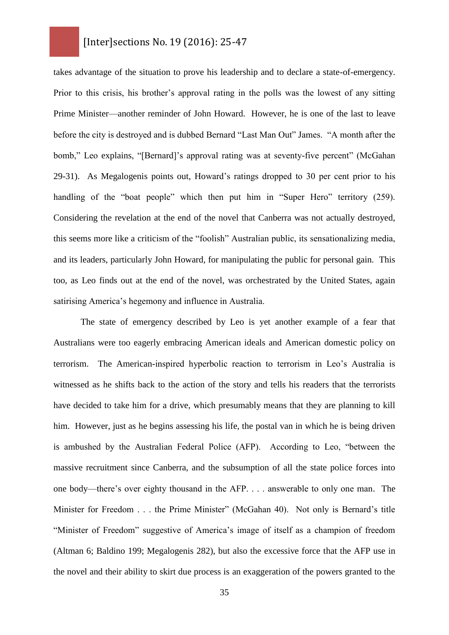takes advantage of the situation to prove his leadership and to declare a state-of-emergency. Prior to this crisis, his brother's approval rating in the polls was the lowest of any sitting Prime Minister—another reminder of John Howard. However, he is one of the last to leave before the city is destroyed and is dubbed Bernard "Last Man Out" James. "A month after the bomb," Leo explains, "[Bernard]'s approval rating was at seventy-five percent" (McGahan 29-31). As Megalogenis points out, Howard's ratings dropped to 30 per cent prior to his handling of the "boat people" which then put him in "Super Hero" territory (259). Considering the revelation at the end of the novel that Canberra was not actually destroyed, this seems more like a criticism of the "foolish" Australian public, its sensationalizing media, and its leaders, particularly John Howard, for manipulating the public for personal gain. This too, as Leo finds out at the end of the novel, was orchestrated by the United States, again satirising America's hegemony and influence in Australia.

The state of emergency described by Leo is yet another example of a fear that Australians were too eagerly embracing American ideals and American domestic policy on terrorism. The American-inspired hyperbolic reaction to terrorism in Leo's Australia is witnessed as he shifts back to the action of the story and tells his readers that the terrorists have decided to take him for a drive, which presumably means that they are planning to kill him. However, just as he begins assessing his life, the postal van in which he is being driven is ambushed by the Australian Federal Police (AFP). According to Leo, "between the massive recruitment since Canberra, and the subsumption of all the state police forces into one body—there's over eighty thousand in the AFP. . . . answerable to only one man. The Minister for Freedom . . . the Prime Minister" (McGahan 40). Not only is Bernard's title "Minister of Freedom" suggestive of America's image of itself as a champion of freedom (Altman 6; Baldino 199; Megalogenis 282), but also the excessive force that the AFP use in the novel and their ability to skirt due process is an exaggeration of the powers granted to the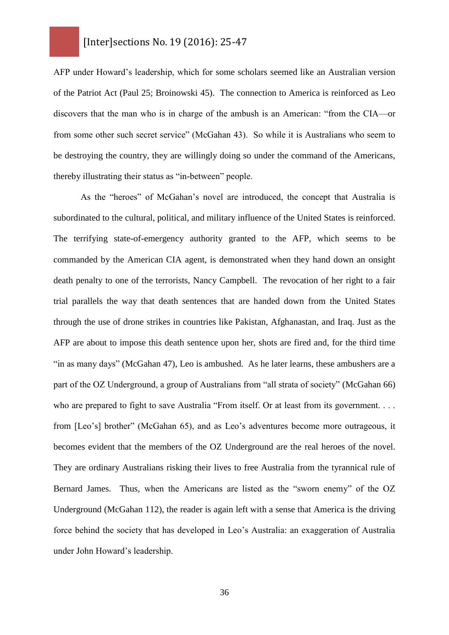AFP under Howard's leadership, which for some scholars seemed like an Australian version of the Patriot Act (Paul 25; Broinowski 45). The connection to America is reinforced as Leo discovers that the man who is in charge of the ambush is an American: "from the CIA—or from some other such secret service" (McGahan 43). So while it is Australians who seem to be destroying the country, they are willingly doing so under the command of the Americans, thereby illustrating their status as "in-between" people.

As the "heroes" of McGahan's novel are introduced, the concept that Australia is subordinated to the cultural, political, and military influence of the United States is reinforced. The terrifying state-of-emergency authority granted to the AFP, which seems to be commanded by the American CIA agent, is demonstrated when they hand down an onsight death penalty to one of the terrorists, Nancy Campbell. The revocation of her right to a fair trial parallels the way that death sentences that are handed down from the United States through the use of drone strikes in countries like Pakistan, Afghanastan, and Iraq. Just as the AFP are about to impose this death sentence upon her, shots are fired and, for the third time "in as many days" (McGahan 47), Leo is ambushed. As he later learns, these ambushers are a part of the OZ Underground, a group of Australians from "all strata of society" (McGahan 66) who are prepared to fight to save Australia "From itself. Or at least from its government. . . . from [Leo's] brother" (McGahan 65), and as Leo's adventures become more outrageous, it becomes evident that the members of the OZ Underground are the real heroes of the novel. They are ordinary Australians risking their lives to free Australia from the tyrannical rule of Bernard James. Thus, when the Americans are listed as the "sworn enemy" of the OZ Underground (McGahan 112), the reader is again left with a sense that America is the driving force behind the society that has developed in Leo's Australia: an exaggeration of Australia under John Howard's leadership.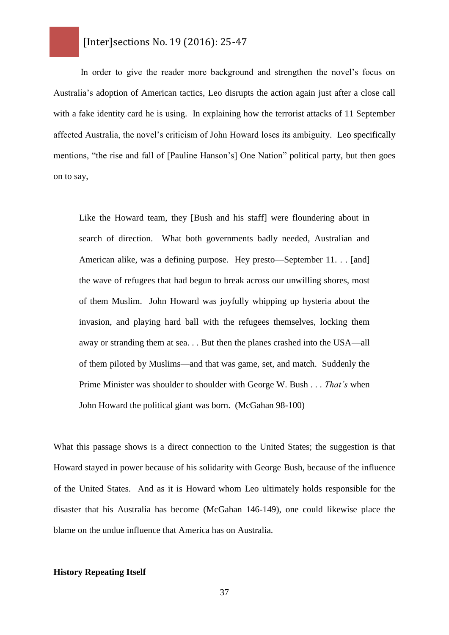In order to give the reader more background and strengthen the novel's focus on Australia's adoption of American tactics, Leo disrupts the action again just after a close call with a fake identity card he is using. In explaining how the terrorist attacks of 11 September affected Australia, the novel's criticism of John Howard loses its ambiguity. Leo specifically mentions, "the rise and fall of [Pauline Hanson's] One Nation" political party, but then goes on to say,

Like the Howard team, they [Bush and his staff] were floundering about in search of direction. What both governments badly needed, Australian and American alike, was a defining purpose. Hey presto—September 11. . . [and] the wave of refugees that had begun to break across our unwilling shores, most of them Muslim. John Howard was joyfully whipping up hysteria about the invasion, and playing hard ball with the refugees themselves, locking them away or stranding them at sea. . . But then the planes crashed into the USA—all of them piloted by Muslims—and that was game, set, and match. Suddenly the Prime Minister was shoulder to shoulder with George W. Bush . . . *That's* when John Howard the political giant was born. (McGahan 98-100)

What this passage shows is a direct connection to the United States; the suggestion is that Howard stayed in power because of his solidarity with George Bush, because of the influence of the United States. And as it is Howard whom Leo ultimately holds responsible for the disaster that his Australia has become (McGahan 146-149), one could likewise place the blame on the undue influence that America has on Australia.

#### **History Repeating Itself**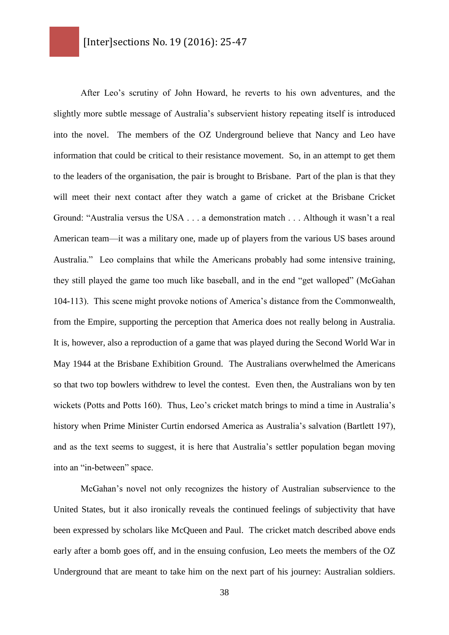After Leo's scrutiny of John Howard, he reverts to his own adventures, and the slightly more subtle message of Australia's subservient history repeating itself is introduced into the novel. The members of the OZ Underground believe that Nancy and Leo have information that could be critical to their resistance movement. So, in an attempt to get them to the leaders of the organisation, the pair is brought to Brisbane. Part of the plan is that they will meet their next contact after they watch a game of cricket at the Brisbane Cricket Ground: "Australia versus the USA . . . a demonstration match . . . Although it wasn't a real American team—it was a military one, made up of players from the various US bases around Australia." Leo complains that while the Americans probably had some intensive training, they still played the game too much like baseball, and in the end "get walloped" (McGahan 104-113). This scene might provoke notions of America's distance from the Commonwealth, from the Empire, supporting the perception that America does not really belong in Australia. It is, however, also a reproduction of a game that was played during the Second World War in May 1944 at the Brisbane Exhibition Ground. The Australians overwhelmed the Americans so that two top bowlers withdrew to level the contest. Even then, the Australians won by ten wickets (Potts and Potts 160). Thus, Leo's cricket match brings to mind a time in Australia's history when Prime Minister Curtin endorsed America as Australia's salvation (Bartlett 197), and as the text seems to suggest, it is here that Australia's settler population began moving into an "in-between" space.

McGahan's novel not only recognizes the history of Australian subservience to the United States, but it also ironically reveals the continued feelings of subjectivity that have been expressed by scholars like McQueen and Paul. The cricket match described above ends early after a bomb goes off, and in the ensuing confusion, Leo meets the members of the OZ Underground that are meant to take him on the next part of his journey: Australian soldiers.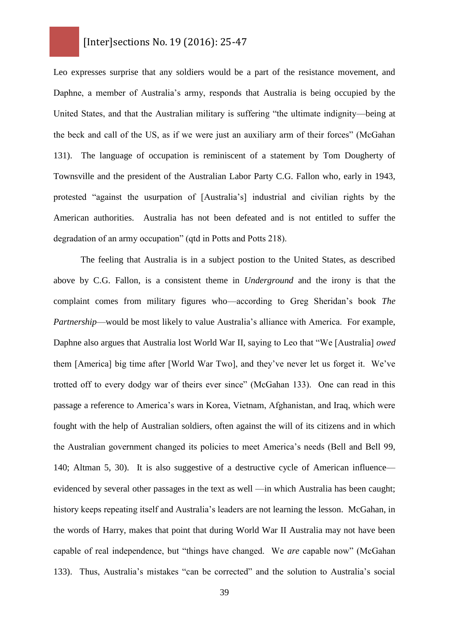Leo expresses surprise that any soldiers would be a part of the resistance movement, and Daphne, a member of Australia's army, responds that Australia is being occupied by the United States, and that the Australian military is suffering "the ultimate indignity—being at the beck and call of the US, as if we were just an auxiliary arm of their forces" (McGahan 131). The language of occupation is reminiscent of a statement by Tom Dougherty of Townsville and the president of the Australian Labor Party C.G. Fallon who, early in 1943, protested "against the usurpation of [Australia's] industrial and civilian rights by the American authorities. Australia has not been defeated and is not entitled to suffer the degradation of an army occupation" (qtd in Potts and Potts 218).

The feeling that Australia is in a subject postion to the United States, as described above by C.G. Fallon, is a consistent theme in *Underground* and the irony is that the complaint comes from military figures who—according to Greg Sheridan's book *The Partnership*—would be most likely to value Australia's alliance with America. For example, Daphne also argues that Australia lost World War II, saying to Leo that "We [Australia] *owed* them [America] big time after [World War Two], and they've never let us forget it. We've trotted off to every dodgy war of theirs ever since" (McGahan 133). One can read in this passage a reference to America's wars in Korea, Vietnam, Afghanistan, and Iraq, which were fought with the help of Australian soldiers, often against the will of its citizens and in which the Australian government changed its policies to meet America's needs (Bell and Bell 99, 140; Altman 5, 30). It is also suggestive of a destructive cycle of American influence evidenced by several other passages in the text as well —in which Australia has been caught; history keeps repeating itself and Australia's leaders are not learning the lesson. McGahan, in the words of Harry, makes that point that during World War II Australia may not have been capable of real independence, but "things have changed. We *are* capable now" (McGahan 133). Thus, Australia's mistakes "can be corrected" and the solution to Australia's social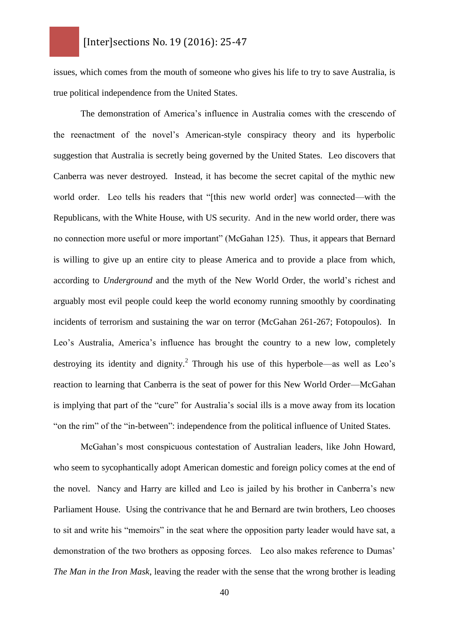issues, which comes from the mouth of someone who gives his life to try to save Australia, is true political independence from the United States.

The demonstration of America's influence in Australia comes with the crescendo of the reenactment of the novel's American-style conspiracy theory and its hyperbolic suggestion that Australia is secretly being governed by the United States. Leo discovers that Canberra was never destroyed. Instead, it has become the secret capital of the mythic new world order. Leo tells his readers that "[this new world order] was connected—with the Republicans, with the White House, with US security. And in the new world order, there was no connection more useful or more important" (McGahan 125). Thus, it appears that Bernard is willing to give up an entire city to please America and to provide a place from which, according to *Underground* and the myth of the New World Order, the world's richest and arguably most evil people could keep the world economy running smoothly by coordinating incidents of terrorism and sustaining the war on terror (McGahan 261-267; Fotopoulos). In Leo's Australia, America's influence has brought the country to a new low, completely destroying its identity and dignity.<sup>2</sup> Through his use of this hyperbole—as well as Leo's reaction to learning that Canberra is the seat of power for this New World Order—McGahan is implying that part of the "cure" for Australia's social ills is a move away from its location "on the rim" of the "in-between": independence from the political influence of United States.

McGahan's most conspicuous contestation of Australian leaders, like John Howard, who seem to sycophantically adopt American domestic and foreign policy comes at the end of the novel. Nancy and Harry are killed and Leo is jailed by his brother in Canberra's new Parliament House. Using the contrivance that he and Bernard are twin brothers, Leo chooses to sit and write his "memoirs" in the seat where the opposition party leader would have sat, a demonstration of the two brothers as opposing forces. Leo also makes reference to Dumas' *The Man in the Iron Mask*, leaving the reader with the sense that the wrong brother is leading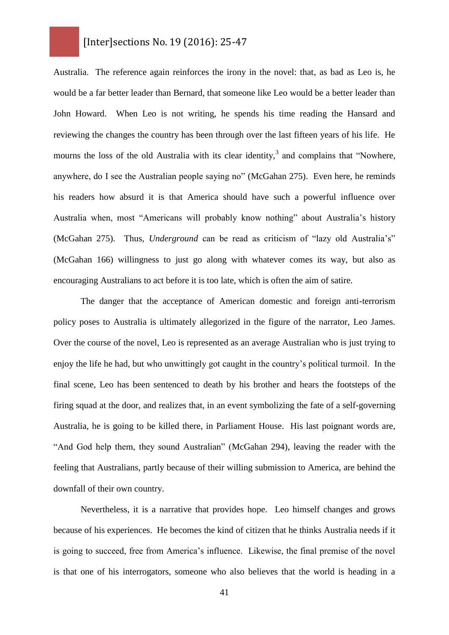Australia. The reference again reinforces the irony in the novel: that, as bad as Leo is, he would be a far better leader than Bernard, that someone like Leo would be a better leader than John Howard. When Leo is not writing, he spends his time reading the Hansard and reviewing the changes the country has been through over the last fifteen years of his life. He mourns the loss of the old Australia with its clear identity,<sup>3</sup> and complains that "Nowhere, anywhere, do I see the Australian people saying no" (McGahan 275). Even here, he reminds his readers how absurd it is that America should have such a powerful influence over Australia when, most "Americans will probably know nothing" about Australia's history (McGahan 275). Thus, *Underground* can be read as criticism of "lazy old Australia's" (McGahan 166) willingness to just go along with whatever comes its way, but also as encouraging Australians to act before it is too late, which is often the aim of satire.

The danger that the acceptance of American domestic and foreign anti-terrorism policy poses to Australia is ultimately allegorized in the figure of the narrator, Leo James. Over the course of the novel, Leo is represented as an average Australian who is just trying to enjoy the life he had, but who unwittingly got caught in the country's political turmoil. In the final scene, Leo has been sentenced to death by his brother and hears the footsteps of the firing squad at the door, and realizes that, in an event symbolizing the fate of a self-governing Australia, he is going to be killed there, in Parliament House. His last poignant words are, "And God help them, they sound Australian" (McGahan 294), leaving the reader with the feeling that Australians, partly because of their willing submission to America, are behind the downfall of their own country.

Nevertheless, it is a narrative that provides hope. Leo himself changes and grows because of his experiences. He becomes the kind of citizen that he thinks Australia needs if it is going to succeed, free from America's influence. Likewise, the final premise of the novel is that one of his interrogators, someone who also believes that the world is heading in a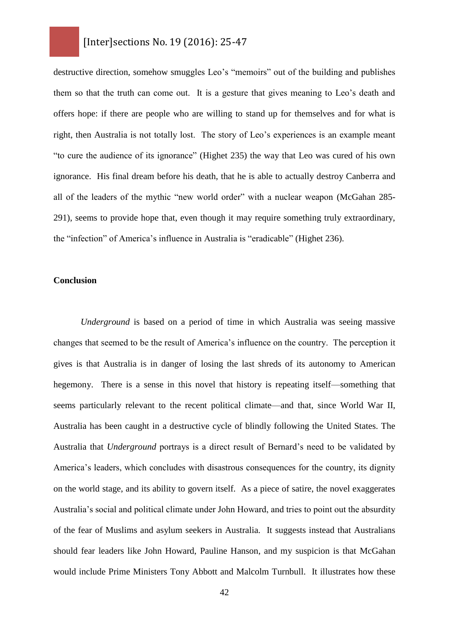destructive direction, somehow smuggles Leo's "memoirs" out of the building and publishes them so that the truth can come out. It is a gesture that gives meaning to Leo's death and offers hope: if there are people who are willing to stand up for themselves and for what is right, then Australia is not totally lost. The story of Leo's experiences is an example meant "to cure the audience of its ignorance" (Highet 235) the way that Leo was cured of his own ignorance. His final dream before his death, that he is able to actually destroy Canberra and all of the leaders of the mythic "new world order" with a nuclear weapon (McGahan 285- 291), seems to provide hope that, even though it may require something truly extraordinary, the "infection" of America's influence in Australia is "eradicable" (Highet 236).

#### **Conclusion**

*Underground* is based on a period of time in which Australia was seeing massive changes that seemed to be the result of America's influence on the country. The perception it gives is that Australia is in danger of losing the last shreds of its autonomy to American hegemony. There is a sense in this novel that history is repeating itself—something that seems particularly relevant to the recent political climate—and that, since World War II, Australia has been caught in a destructive cycle of blindly following the United States. The Australia that *Underground* portrays is a direct result of Bernard's need to be validated by America's leaders, which concludes with disastrous consequences for the country, its dignity on the world stage, and its ability to govern itself. As a piece of satire, the novel exaggerates Australia's social and political climate under John Howard, and tries to point out the absurdity of the fear of Muslims and asylum seekers in Australia. It suggests instead that Australians should fear leaders like John Howard, Pauline Hanson, and my suspicion is that McGahan would include Prime Ministers Tony Abbott and Malcolm Turnbull. It illustrates how these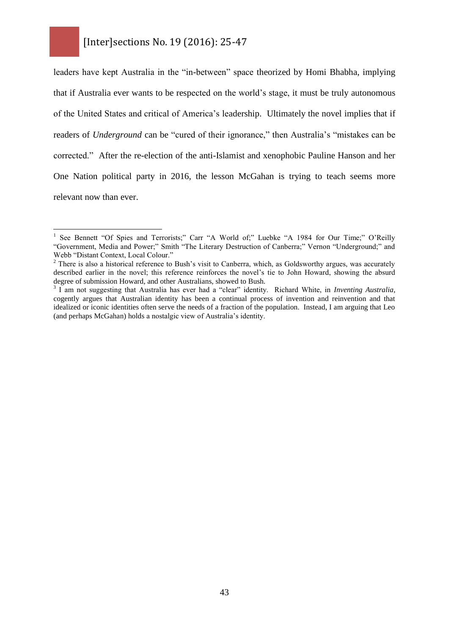$\overline{a}$ 

leaders have kept Australia in the "in-between" space theorized by Homi Bhabha, implying that if Australia ever wants to be respected on the world's stage, it must be truly autonomous of the United States and critical of America's leadership. Ultimately the novel implies that if readers of *Underground* can be "cured of their ignorance," then Australia's "mistakes can be corrected." After the re-election of the anti-Islamist and xenophobic Pauline Hanson and her One Nation political party in 2016, the lesson McGahan is trying to teach seems more relevant now than ever.

<sup>1</sup> See Bennett "Of Spies and Terrorists;" Carr "A World of;" Luebke "A 1984 for Our Time;" O'Reilly "Government, Media and Power;" Smith "The Literary Destruction of Canberra;" Vernon "Underground;" and Webb "Distant Context, Local Colour."

<sup>&</sup>lt;sup>2</sup> There is also a historical reference to Bush's visit to Canberra, which, as Goldsworthy argues, was accurately described earlier in the novel; this reference reinforces the novel's tie to John Howard, showing the absurd degree of submission Howard, and other Australians, showed to Bush.

<sup>3</sup> I am not suggesting that Australia has ever had a "clear" identity. Richard White, in *Inventing Australia*, cogently argues that Australian identity has been a continual process of invention and reinvention and that idealized or iconic identities often serve the needs of a fraction of the population. Instead, I am arguing that Leo (and perhaps McGahan) holds a nostalgic view of Australia's identity.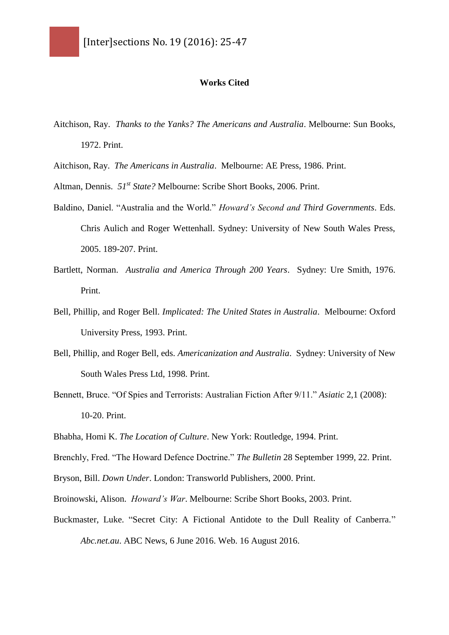#### **Works Cited**

- Aitchison, Ray. *Thanks to the Yanks? The Americans and Australia*. Melbourne: Sun Books, 1972. Print.
- Aitchison, Ray. *The Americans in Australia*. Melbourne: AE Press, 1986. Print.
- Altman, Dennis. *51st State?* Melbourne: Scribe Short Books, 2006. Print.
- Baldino, Daniel. "Australia and the World." *Howard's Second and Third Governments*. Eds. Chris Aulich and Roger Wettenhall. Sydney: University of New South Wales Press, 2005. 189-207. Print.
- Bartlett, Norman. *Australia and America Through 200 Years*. Sydney: Ure Smith, 1976. Print.
- Bell, Phillip, and Roger Bell. *Implicated: The United States in Australia*. Melbourne: Oxford University Press, 1993. Print.
- Bell, Phillip, and Roger Bell, eds. *Americanization and Australia*. Sydney: University of New South Wales Press Ltd, 1998. Print.
- Bennett, Bruce. "Of Spies and Terrorists: Australian Fiction After 9/11." *Asiatic* 2,1 (2008): 10-20. Print.
- Bhabha, Homi K. *The Location of Culture*. New York: Routledge, 1994. Print.

Brenchly, Fred. "The Howard Defence Doctrine." *The Bulletin* 28 September 1999, 22. Print.

- Bryson, Bill. *Down Under*. London: Transworld Publishers, 2000. Print.
- Broinowski, Alison. *Howard's War*. Melbourne: Scribe Short Books, 2003. Print.
- Buckmaster, Luke. "Secret City: A Fictional Antidote to the Dull Reality of Canberra." *Abc.net.au*. ABC News, 6 June 2016. Web. 16 August 2016.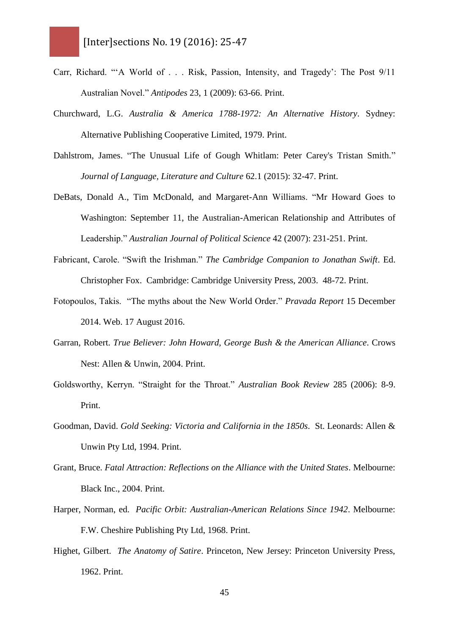- Carr, Richard. "'A World of . . . Risk, Passion, Intensity, and Tragedy': The Post 9/11 Australian Novel." *Antipodes* 23, 1 (2009): 63-66. Print.
- Churchward, L.G. *Australia & America 1788-1972: An Alternative History*. Sydney: Alternative Publishing Cooperative Limited, 1979. Print.
- Dahlstrom, James. "The Unusual Life of Gough Whitlam: Peter Carey's Tristan Smith." *Journal of Language, Literature and Culture* 62.1 (2015): 32-47. Print.
- DeBats, Donald A., Tim McDonald, and Margaret-Ann Williams. "Mr Howard Goes to Washington: September 11, the Australian-American Relationship and Attributes of Leadership." *Australian Journal of Political Science* 42 (2007): 231-251. Print.
- Fabricant, Carole. "Swift the Irishman." *The Cambridge Companion to Jonathan Swift*. Ed. Christopher Fox. Cambridge: Cambridge University Press, 2003. 48-72. Print.
- Fotopoulos, Takis. "The myths about the New World Order." *Pravada Report* 15 December 2014. Web. 17 August 2016.
- Garran, Robert. *True Believer: John Howard, George Bush & the American Alliance*. Crows Nest: Allen & Unwin, 2004. Print.
- Goldsworthy, Kerryn. "Straight for the Throat." *Australian Book Review* 285 (2006): 8-9. Print.
- Goodman, David. *Gold Seeking: Victoria and California in the 1850s*. St. Leonards: Allen & Unwin Pty Ltd, 1994. Print.
- Grant, Bruce. *Fatal Attraction: Reflections on the Alliance with the United States*. Melbourne: Black Inc., 2004. Print.
- Harper, Norman, ed. *Pacific Orbit: Australian-American Relations Since 1942*. Melbourne: F.W. Cheshire Publishing Pty Ltd, 1968. Print.
- Highet, Gilbert. *The Anatomy of Satire*. Princeton, New Jersey: Princeton University Press, 1962. Print.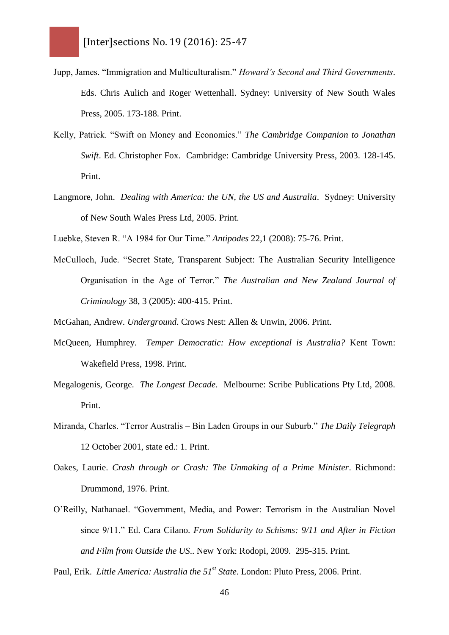- Jupp, James. "Immigration and Multiculturalism." *Howard's Second and Third Governments*. Eds. Chris Aulich and Roger Wettenhall. Sydney: University of New South Wales Press, 2005. 173-188. Print.
- Kelly, Patrick. "Swift on Money and Economics." *The Cambridge Companion to Jonathan Swift*. Ed. Christopher Fox. Cambridge: Cambridge University Press, 2003. 128-145. Print.
- Langmore, John. *Dealing with America: the UN, the US and Australia*. Sydney: University of New South Wales Press Ltd, 2005. Print.
- Luebke, Steven R. "A 1984 for Our Time." *Antipodes* 22,1 (2008): 75-76. Print.
- McCulloch, Jude. "Secret State, Transparent Subject: The Australian Security Intelligence Organisation in the Age of Terror." *The Australian and New Zealand Journal of Criminology* 38, 3 (2005): 400-415. Print.

McGahan, Andrew. *Underground*. Crows Nest: Allen & Unwin, 2006. Print.

- McQueen, Humphrey. *Temper Democratic: How exceptional is Australia?* Kent Town: Wakefield Press, 1998. Print.
- Megalogenis, George. *The Longest Decade*. Melbourne: Scribe Publications Pty Ltd, 2008. Print.
- Miranda, Charles. "Terror Australis Bin Laden Groups in our Suburb." *The Daily Telegraph* 12 October 2001, state ed.: 1. Print.
- Oakes, Laurie. *Crash through or Crash: The Unmaking of a Prime Minister*. Richmond: Drummond, 1976. Print.
- O'Reilly, Nathanael. "Government, Media, and Power: Terrorism in the Australian Novel since 9/11." Ed. Cara Cilano. *From Solidarity to Schisms: 9/11 and After in Fiction and Film from Outside the US*.. New York: Rodopi, 2009. 295-315. Print.

Paul, Erik. *Little America: Australia the 51<sup>st</sup> State*. London: Pluto Press, 2006. Print.